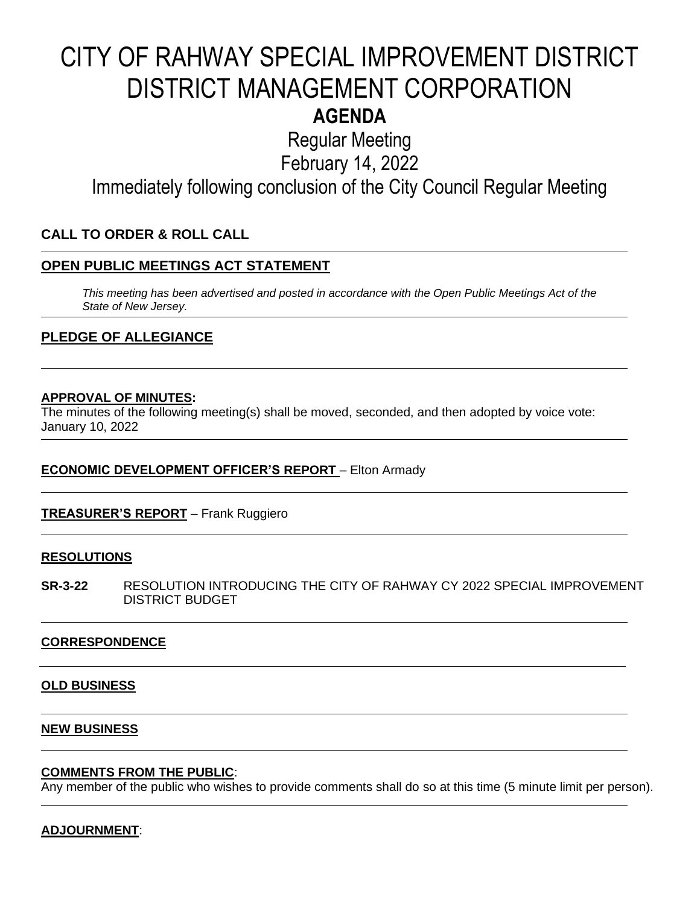# CITY OF RAHWAY SPECIAL IMPROVEMENT DISTRICT DISTRICT MANAGEMENT CORPORATION **AGENDA**

Regular Meeting

February 14, 2022

Immediately following conclusion of the City Council Regular Meeting

### **CALL TO ORDER & ROLL CALL**

#### **OPEN PUBLIC MEETINGS ACT STATEMENT**

*This meeting has been advertised and posted in accordance with the Open Public Meetings Act of the State of New Jersey.*

#### **PLEDGE OF ALLEGIANCE**

#### **APPROVAL OF MINUTES:**

The minutes of the following meeting(s) shall be moved, seconded, and then adopted by voice vote: January 10, 2022

#### **ECONOMIC DEVELOPMENT OFFICER'S REPORT** – Elton Armady

#### **TREASURER'S REPORT** – Frank Ruggiero

#### **RESOLUTIONS**

**SR-3-22** RESOLUTION INTRODUCING THE CITY OF RAHWAY CY 2022 SPECIAL IMPROVEMENT DISTRICT BUDGET

#### **CORRESPONDENCE**

#### **OLD BUSINESS**

#### **NEW BUSINESS**

#### **COMMENTS FROM THE PUBLIC**:

Any member of the public who wishes to provide comments shall do so at this time (5 minute limit per person).

#### **ADJOURNMENT**: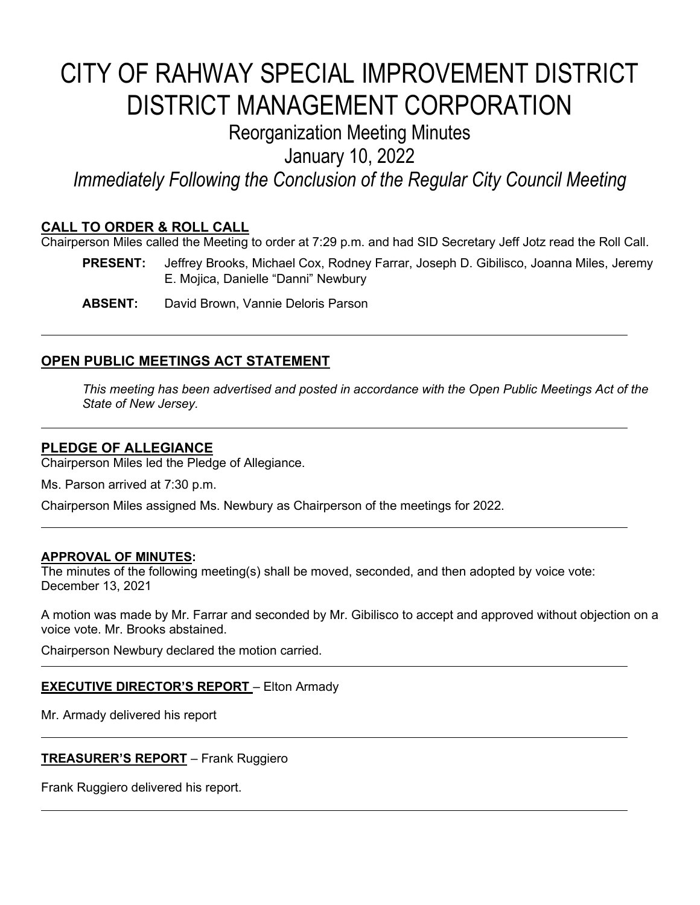# CITY OF RAHWAY SPECIAL IMPROVEMENT DISTRICT DISTRICT MANAGEMENT CORPORATION

## Reorganization Meeting Minutes

January 10, 2022

*Immediately Following the Conclusion of the Regular City Council Meeting*

#### **CALL TO ORDER & ROLL CALL**

Chairperson Miles called the Meeting to order at 7:29 p.m. and had SID Secretary Jeff Jotz read the Roll Call.

- **PRESENT:** Jeffrey Brooks, Michael Cox, Rodney Farrar, Joseph D. Gibilisco, Joanna Miles, Jeremy E. Mojica, Danielle "Danni" Newbury
- **ABSENT:** David Brown, Vannie Deloris Parson

### **OPEN PUBLIC MEETINGS ACT STATEMENT**

*This meeting has been advertised and posted in accordance with the Open Public Meetings Act of the State of New Jersey.*

### **PLEDGE OF ALLEGIANCE**

Chairperson Miles led the Pledge of Allegiance.

Ms. Parson arrived at 7:30 p.m.

Chairperson Miles assigned Ms. Newbury as Chairperson of the meetings for 2022.

#### **APPROVAL OF MINUTES:**

The minutes of the following meeting(s) shall be moved, seconded, and then adopted by voice vote: December 13, 2021

A motion was made by Mr. Farrar and seconded by Mr. Gibilisco to accept and approved without objection on a voice vote. Mr. Brooks abstained.

Chairperson Newbury declared the motion carried.

#### **EXECUTIVE DIRECTOR'S REPORT** – Elton Armady

Mr. Armady delivered his report

#### **TREASURER'S REPORT** – Frank Ruggiero

Frank Ruggiero delivered his report.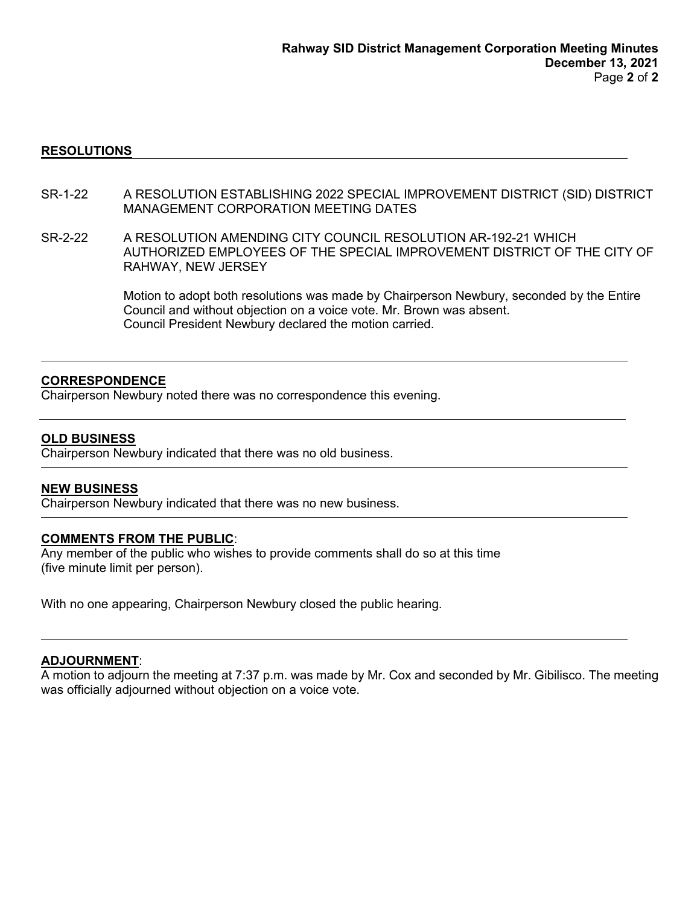#### **RESOLUTIONS**

- SR-1-22 A RESOLUTION ESTABLISHING 2022 SPECIAL IMPROVEMENT DISTRICT (SID) DISTRICT MANAGEMENT CORPORATION MEETING DATES
- SR-2-22 A RESOLUTION AMENDING CITY COUNCIL RESOLUTION AR-192-21 WHICH AUTHORIZED EMPLOYEES OF THE SPECIAL IMPROVEMENT DISTRICT OF THE CITY OF RAHWAY, NEW JERSEY

Motion to adopt both resolutions was made by Chairperson Newbury, seconded by the Entire Council and without objection on a voice vote. Mr. Brown was absent. Council President Newbury declared the motion carried.

#### **CORRESPONDENCE**

Chairperson Newbury noted there was no correspondence this evening.

#### **OLD BUSINESS**

Chairperson Newbury indicated that there was no old business.

#### **NEW BUSINESS**

Chairperson Newbury indicated that there was no new business.

#### **COMMENTS FROM THE PUBLIC**:

Any member of the public who wishes to provide comments shall do so at this time (five minute limit per person).

With no one appearing, Chairperson Newbury closed the public hearing.

#### **ADJOURNMENT**:

A motion to adjourn the meeting at 7:37 p.m. was made by Mr. Cox and seconded by Mr. Gibilisco. The meeting was officially adjourned without objection on a voice vote.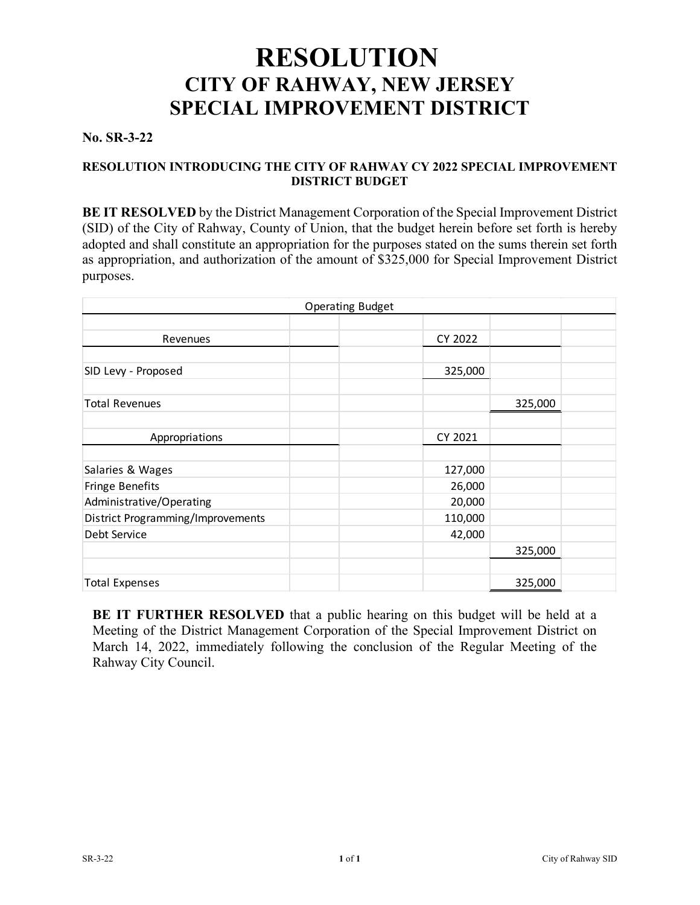# **RESOLUTION CITY OF RAHWAY, NEW JERSEY SPECIAL IMPROVEMENT DISTRICT No. SR-3-22**

#### **RESOLUTION INTRODUCING THE CITY OF RAHWAY CY 2022 SPECIAL IMPROVEMENT DISTRICT BUDGET**

**BE IT RESOLVED** by the District Management Corporation of the Special Improvement District (SID) of the City of Rahway, County of Union, that the budget herein before set forth is hereby adopted and shall constitute an appropriation for the purposes stated on the sums therein set forth as appropriation, and authorization of the amount of \$325,000 for Special Improvement District purposes.

| <b>Operating Budget</b>           |         |         |  |
|-----------------------------------|---------|---------|--|
|                                   |         |         |  |
| Revenues                          | CY 2022 |         |  |
|                                   |         |         |  |
| SID Levy - Proposed               | 325,000 |         |  |
|                                   |         |         |  |
| <b>Total Revenues</b>             |         | 325,000 |  |
|                                   |         |         |  |
| Appropriations                    | CY 2021 |         |  |
|                                   |         |         |  |
| Salaries & Wages                  | 127,000 |         |  |
| Fringe Benefits                   | 26,000  |         |  |
| Administrative/Operating          | 20,000  |         |  |
| District Programming/Improvements | 110,000 |         |  |
| Debt Service                      | 42,000  |         |  |
|                                   |         | 325,000 |  |
|                                   |         |         |  |
| <b>Total Expenses</b>             |         | 325,000 |  |

**BE IT FURTHER RESOLVED** that a public hearing on this budget will be held at a Meeting of the District Management Corporation of the Special Improvement District on March 14, 2022, immediately following the conclusion of the Regular Meeting of the Rahway City Council.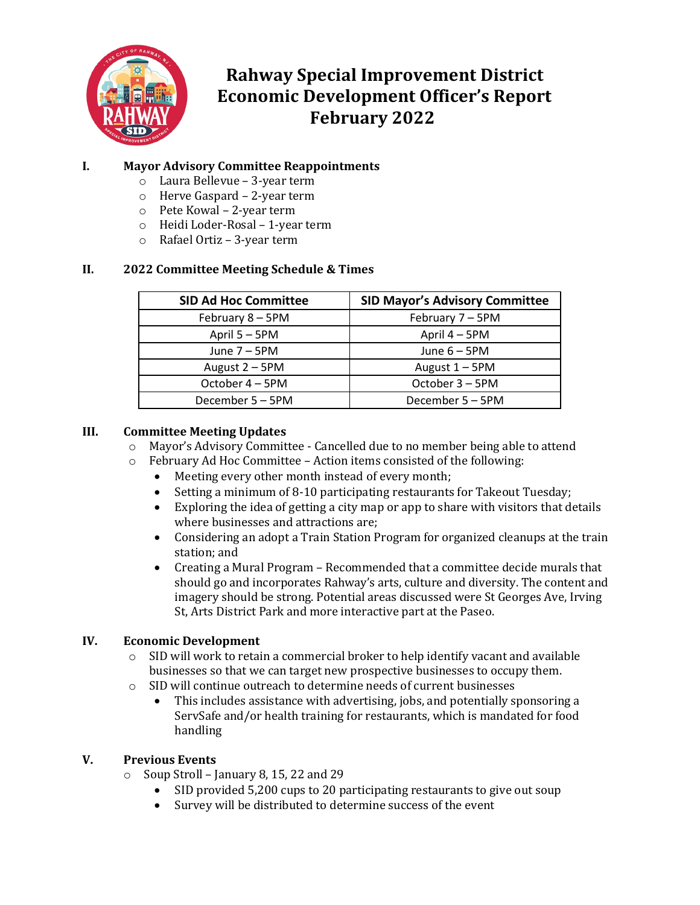

### **Rahway Special Improvement District Economic Development Officer's Report February 2022**

#### **I. Mayor Advisory Committee Reappointments**

- o Laura Bellevue 3-year term
- o Herve Gaspard 2-year term
- o Pete Kowal 2-year term
- o Heidi Loder-Rosal 1-year term
- o Rafael Ortiz 3-year term

#### **II. 2022 Committee Meeting Schedule & Times**

| <b>SID Ad Hoc Committee</b> | <b>SID Mayor's Advisory Committee</b> |  |
|-----------------------------|---------------------------------------|--|
| February 8 - 5PM            | February 7 - 5PM                      |  |
| April 5 - 5PM               | April 4 – 5PM                         |  |
| June $7 - 5$ PM             | June $6 - 5$ PM                       |  |
| August 2 - 5PM              | August $1 - 5$ PM                     |  |
| October 4 - 5PM             | October 3 - 5PM                       |  |
| December 5 - 5PM            | December 5 - 5PM                      |  |

#### **III. Committee Meeting Updates**

- $\circ$  Mayor's Advisory Committee Cancelled due to no member being able to attend  $\circ$  February Ad Hoc Committee Action items consisted of the following:
- February Ad Hoc Committee Action items consisted of the following:<br>• Meeting every other month instead of every month:
	- Meeting every other month instead of every month;
	- Setting a minimum of 8-10 participating restaurants for Takeout Tuesday;<br>• Exploring the idea of getting a city map or app to share with visitors that de
	- Exploring the idea of getting a city map or app to share with visitors that details where businesses and attractions are;
	- Considering an adopt a Train Station Program for organized cleanups at the train station; and
	- Creating a Mural Program Recommended that a committee decide murals that should go and incorporates Rahway's arts, culture and diversity. The content and imagery should be strong. Potential areas discussed were St Georges Ave, Irving St, Arts District Park and more interactive part at the Paseo.

#### **IV. Economic Development**

- $\circ$  SID will work to retain a commercial broker to help identify vacant and available businesses so that we can target new prospective businesses to occupy them.
- o SID will continue outreach to determine needs of current businesses
	- This includes assistance with advertising, jobs, and potentially sponsoring a ServSafe and/or health training for restaurants, which is mandated for food handling

#### **V. Previous Events**

- $\circ$  Soup Stroll January 8, 15, 22 and 29
	- SID provided 5,200 cups to 20 participating restaurants to give out soup
	- Survey will be distributed to determine success of the event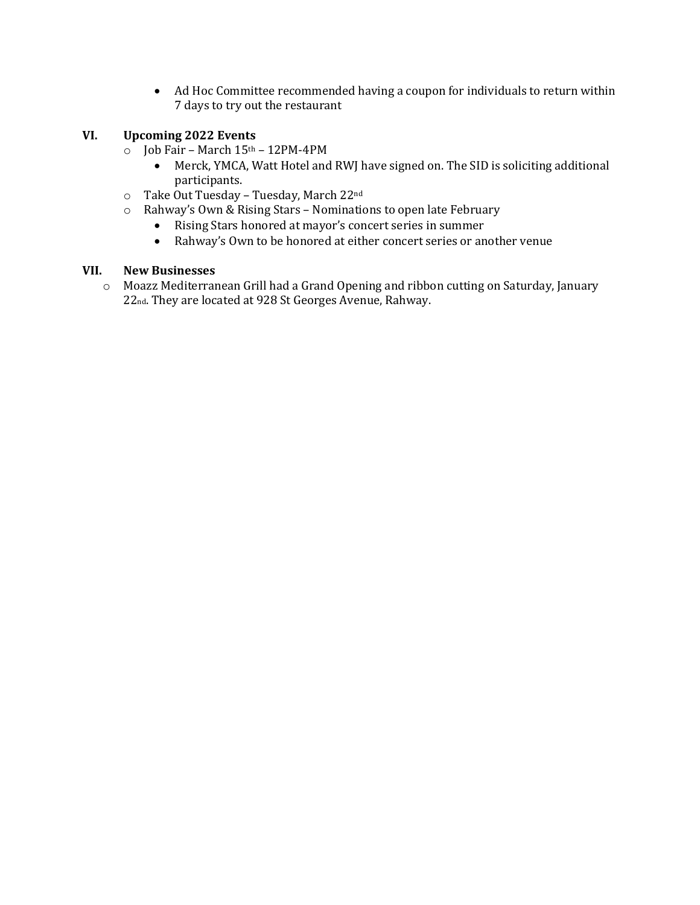• Ad Hoc Committee recommended having a coupon for individuals to return within 7 days to try out the restaurant

#### **VI. Upcoming 2022 Events**

- $\circ$  Job Fair March 15<sup>th</sup> 12PM-4PM<br>• Merck. YMCA. Watt Hotel and
	- Merck, YMCA, Watt Hotel and RWJ have signed on. The SID is soliciting additional participants.
- o Take Out Tuesday Tuesday, March 22nd
- o Rahway's Own & Rising Stars Nominations to open late February
	- Rising Stars honored at mayor's concert series in summer<br>• Rahway's Own to be honored at either concert series or an
	- Rahway's Own to be honored at either concert series or another venue

#### **VII. New Businesses**

o Moazz Mediterranean Grill had a Grand Opening and ribbon cutting on Saturday, January 22nd. They are located at 928 St Georges Avenue, Rahway.